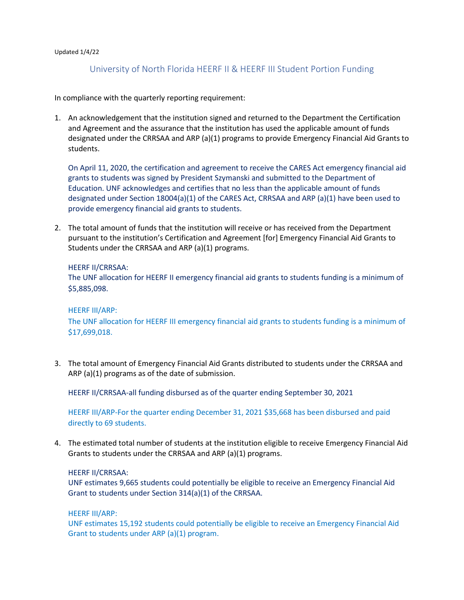#### Updated 1/4/22

# University of North Florida HEERF II & HEERF III Student Portion Funding

In compliance with the quarterly reporting requirement:

1. An acknowledgement that the institution signed and returned to the Department the Certification and Agreement and the assurance that the institution has used the applicable amount of funds designated under the CRRSAA and ARP (a)(1) programs to provide Emergency Financial Aid Grants to students.

On April 11, 2020, the certification and agreement to receive the CARES Act emergency financial aid grants to students was signed by President Szymanski and submitted to the Department of Education. UNF acknowledges and certifies that no less than the applicable amount of funds designated under Section 18004(a)(1) of the CARES Act, CRRSAA and ARP (a)(1) have been used to provide emergency financial aid grants to students.

2. The total amount of funds that the institution will receive or has received from the Department pursuant to the institution's Certification and Agreement [for] Emergency Financial Aid Grants to Students under the CRRSAA and ARP (a)(1) programs.

#### HEERF II/CRRSAA:

The UNF allocation for HEERF II emergency financial aid grants to students funding is a minimum of \$5,885,098.

#### HEERF III/ARP:

The UNF allocation for HEERF III emergency financial aid grants to students funding is a minimum of \$17,699,018.

3. The total amount of Emergency Financial Aid Grants distributed to students under the CRRSAA and ARP (a)(1) programs as of the date of submission.

HEERF II/CRRSAA-all funding disbursed as of the quarter ending September 30, 2021

HEERF III/ARP-For the quarter ending December 31, 2021 \$35,668 has been disbursed and paid directly to 69 students.

4. The estimated total number of students at the institution eligible to receive Emergency Financial Aid Grants to students under the CRRSAA and ARP (a)(1) programs.

### HEERF II/CRRSAA:

UNF estimates 9,665 students could potentially be eligible to receive an Emergency Financial Aid Grant to students under Section 314(a)(1) of the CRRSAA.

### HEERF III/ARP:

UNF estimates 15,192 students could potentially be eligible to receive an Emergency Financial Aid Grant to students under ARP (a)(1) program.